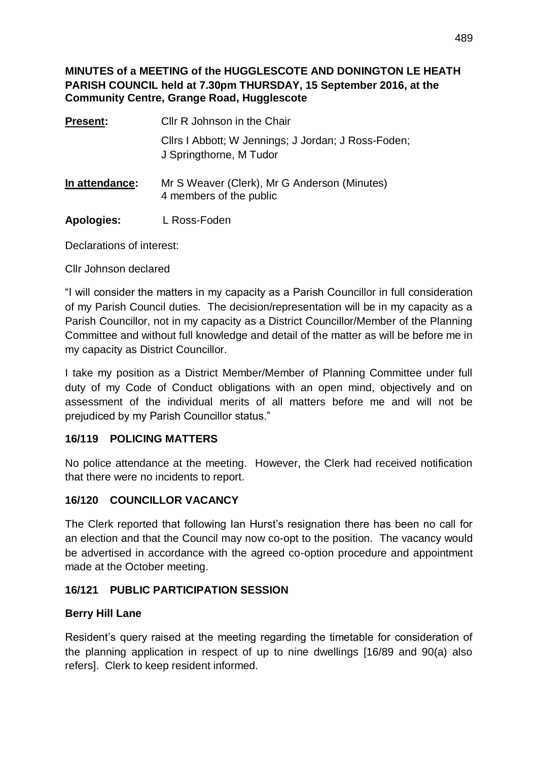**MINUTES of a MEETING of the HUGGLESCOTE AND DONINGTON LE HEATH PARISH COUNCIL held at 7.30pm THURSDAY, 15 September 2016, at the Community Centre, Grange Road, Hugglescote**

| Present:          | Cllr R Johnson in the Chair                                                    |
|-------------------|--------------------------------------------------------------------------------|
|                   | Cllrs I Abbott; W Jennings; J Jordan; J Ross-Foden;<br>J Springthorne, M Tudor |
| In attendance:    | Mr S Weaver (Clerk), Mr G Anderson (Minutes)<br>4 members of the public        |
| <b>Apologies:</b> | L Ross-Foden                                                                   |

Declarations of interest:

Cllr Johnson declared

"I will consider the matters in my capacity as a Parish Councillor in full consideration of my Parish Council duties. The decision/representation will be in my capacity as a Parish Councillor, not in my capacity as a District Councillor/Member of the Planning Committee and without full knowledge and detail of the matter as will be before me in my capacity as District Councillor.

I take my position as a District Member/Member of Planning Committee under full duty of my Code of Conduct obligations with an open mind, objectively and on assessment of the individual merits of all matters before me and will not be prejudiced by my Parish Councillor status."

#### **16/119 POLICING MATTERS**

No police attendance at the meeting. However, the Clerk had received notification that there were no incidents to report.

#### **16/120 COUNCILLOR VACANCY**

The Clerk reported that following Ian Hurst's resignation there has been no call for an election and that the Council may now co-opt to the position. The vacancy would be advertised in accordance with the agreed co-option procedure and appointment made at the October meeting.

#### **16/121 PUBLIC PARTICIPATION SESSION**

#### **Berry Hill Lane**

Resident's query raised at the meeting regarding the timetable for consideration of the planning application in respect of up to nine dwellings [16/89 and 90(a) also refers]. Clerk to keep resident informed.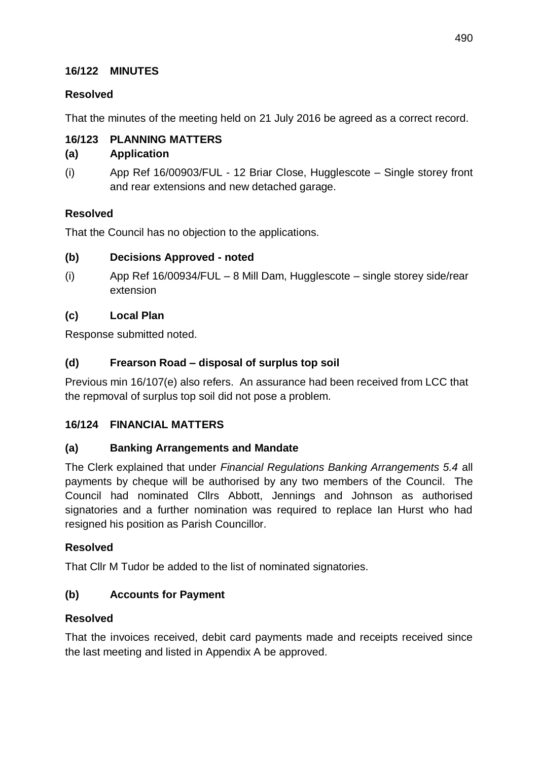#### **16/122 MINUTES**

#### **Resolved**

That the minutes of the meeting held on 21 July 2016 be agreed as a correct record.

#### **16/123 PLANNING MATTERS**

#### **(a) Application**

(i) App Ref 16/00903/FUL - 12 Briar Close, Hugglescote – Single storey front and rear extensions and new detached garage.

#### **Resolved**

That the Council has no objection to the applications.

#### **(b) Decisions Approved - noted**

(i) App Ref 16/00934/FUL – 8 Mill Dam, Hugglescote – single storey side/rear extension

#### **(c) Local Plan**

Response submitted noted.

#### **(d) Frearson Road – disposal of surplus top soil**

Previous min 16/107(e) also refers. An assurance had been received from LCC that the repmoval of surplus top soil did not pose a problem.

#### **16/124 FINANCIAL MATTERS**

#### **(a) Banking Arrangements and Mandate**

The Clerk explained that under *Financial Regulations Banking Arrangements 5.4* all payments by cheque will be authorised by any two members of the Council. The Council had nominated Cllrs Abbott, Jennings and Johnson as authorised signatories and a further nomination was required to replace Ian Hurst who had resigned his position as Parish Councillor.

#### **Resolved**

That Cllr M Tudor be added to the list of nominated signatories.

#### **(b) Accounts for Payment**

#### **Resolved**

That the invoices received, debit card payments made and receipts received since the last meeting and listed in Appendix A be approved.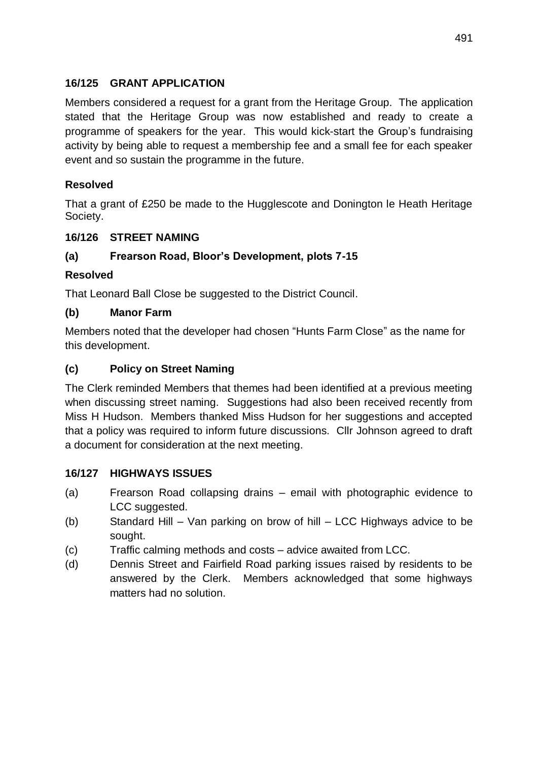#### **16/125 GRANT APPLICATION**

Members considered a request for a grant from the Heritage Group. The application stated that the Heritage Group was now established and ready to create a programme of speakers for the year. This would kick-start the Group's fundraising activity by being able to request a membership fee and a small fee for each speaker event and so sustain the programme in the future.

#### **Resolved**

That a grant of £250 be made to the Hugglescote and Donington le Heath Heritage Society.

#### **16/126 STREET NAMING**

#### **(a) Frearson Road, Bloor's Development, plots 7-15**

#### **Resolved**

That Leonard Ball Close be suggested to the District Council.

#### **(b) Manor Farm**

Members noted that the developer had chosen "Hunts Farm Close" as the name for this development.

#### **(c) Policy on Street Naming**

The Clerk reminded Members that themes had been identified at a previous meeting when discussing street naming. Suggestions had also been received recently from Miss H Hudson. Members thanked Miss Hudson for her suggestions and accepted that a policy was required to inform future discussions. Cllr Johnson agreed to draft a document for consideration at the next meeting.

#### **16/127 HIGHWAYS ISSUES**

- (a) Frearson Road collapsing drains email with photographic evidence to LCC suggested.
- (b) Standard Hill Van parking on brow of hill LCC Highways advice to be sought.
- (c) Traffic calming methods and costs advice awaited from LCC.
- (d) Dennis Street and Fairfield Road parking issues raised by residents to be answered by the Clerk. Members acknowledged that some highways matters had no solution.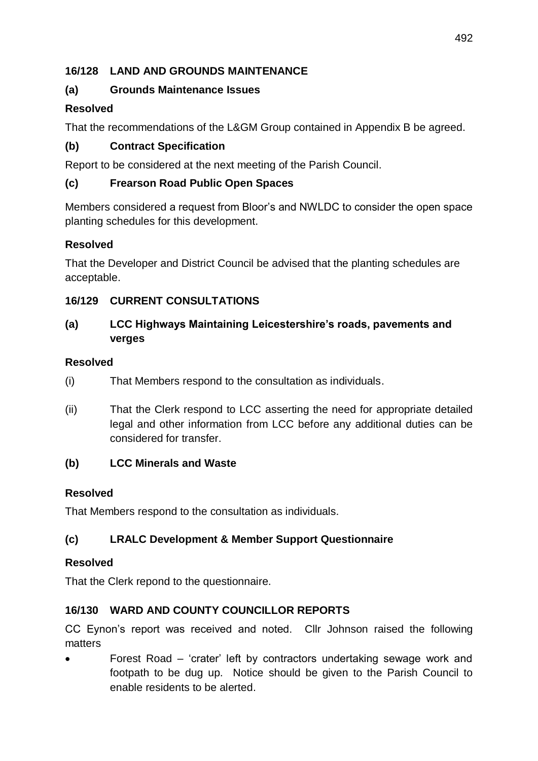#### **16/128 LAND AND GROUNDS MAINTENANCE**

#### **(a) Grounds Maintenance Issues**

#### **Resolved**

That the recommendations of the L&GM Group contained in Appendix B be agreed.

#### **(b) Contract Specification**

Report to be considered at the next meeting of the Parish Council.

#### **(c) Frearson Road Public Open Spaces**

Members considered a request from Bloor's and NWLDC to consider the open space planting schedules for this development.

#### **Resolved**

That the Developer and District Council be advised that the planting schedules are acceptable.

#### **16/129 CURRENT CONSULTATIONS**

#### **(a) LCC Highways Maintaining Leicestershire's roads, pavements and verges**

#### **Resolved**

- (i) That Members respond to the consultation as individuals.
- (ii) That the Clerk respond to LCC asserting the need for appropriate detailed legal and other information from LCC before any additional duties can be considered for transfer.

#### **(b) LCC Minerals and Waste**

#### **Resolved**

That Members respond to the consultation as individuals.

#### **(c) LRALC Development & Member Support Questionnaire**

#### **Resolved**

That the Clerk repond to the questionnaire.

#### **16/130 WARD AND COUNTY COUNCILLOR REPORTS**

CC Eynon's report was received and noted. Cllr Johnson raised the following matters

 Forest Road – 'crater' left by contractors undertaking sewage work and footpath to be dug up. Notice should be given to the Parish Council to enable residents to be alerted.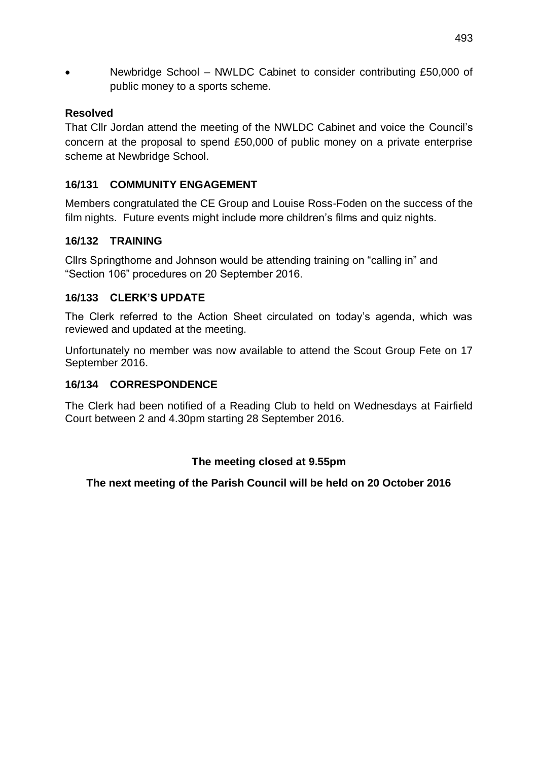• Newbridge School – NWLDC Cabinet to consider contributing £50,000 of public money to a sports scheme.

#### **Resolved**

That Cllr Jordan attend the meeting of the NWLDC Cabinet and voice the Council's concern at the proposal to spend £50,000 of public money on a private enterprise scheme at Newbridge School.

#### **16/131 COMMUNITY ENGAGEMENT**

Members congratulated the CE Group and Louise Ross-Foden on the success of the film nights. Future events might include more children's films and quiz nights.

#### **16/132 TRAINING**

Cllrs Springthorne and Johnson would be attending training on "calling in" and "Section 106" procedures on 20 September 2016.

#### **16/133 CLERK'S UPDATE**

The Clerk referred to the Action Sheet circulated on today's agenda, which was reviewed and updated at the meeting.

Unfortunately no member was now available to attend the Scout Group Fete on 17 September 2016.

#### **16/134 CORRESPONDENCE**

The Clerk had been notified of a Reading Club to held on Wednesdays at Fairfield Court between 2 and 4.30pm starting 28 September 2016.

#### **The meeting closed at 9.55pm**

#### **The next meeting of the Parish Council will be held on 20 October 2016**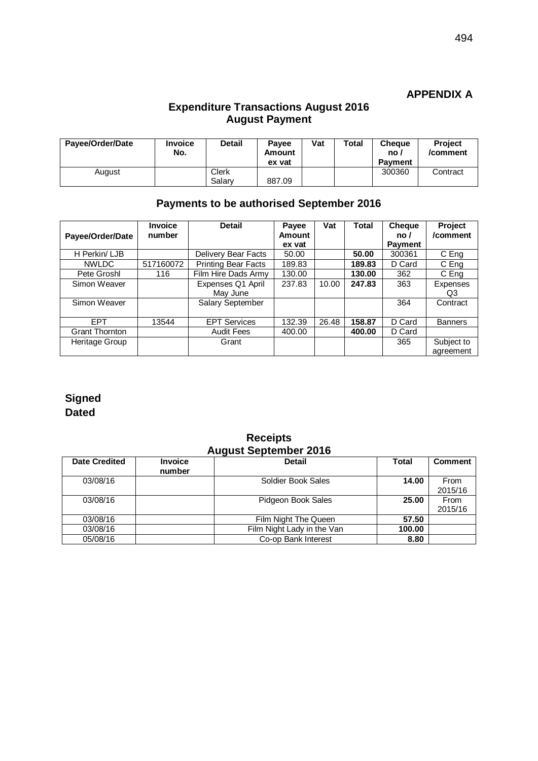#### **APPENDIX A**

#### **Expenditure Transactions August 2016 August Payment**

| Payee/Order/Date | <b>Invoice</b><br>No. | Detail          | <b>Pavee</b><br>Amount<br>ex vat | Vat | <b>Total</b> | <b>Cheaue</b><br>no.<br><b>Payment</b> | <b>Project</b><br>/comment |
|------------------|-----------------------|-----------------|----------------------------------|-----|--------------|----------------------------------------|----------------------------|
| August           |                       | Clerk<br>Salarv | 887.09                           |     |              | 300360                                 | Contract                   |

#### **Payments to be authorised September 2016**

|                       | <b>Invoice</b> | <b>Detail</b>              | Payee  | Vat   | Total  | <b>Cheque</b>  | Project        |
|-----------------------|----------------|----------------------------|--------|-------|--------|----------------|----------------|
| Payee/Order/Date      | number         |                            | Amount |       |        | no/            | /comment       |
|                       |                |                            | ex vat |       |        | <b>Payment</b> |                |
| H Perkin/ LJB         |                | <b>Delivery Bear Facts</b> | 50.00  |       | 50.00  | 300361         | C Eng          |
| <b>NWLDC</b>          | 517160072      | <b>Printing Bear Facts</b> | 189.83 |       | 189.83 | D Card         | C Eng          |
| Pete Groshl           | 116            | Film Hire Dads Army        | 130.00 |       | 130.00 | 362            | C Eng          |
| Simon Weaver          |                | Expenses Q1 April          | 237.83 | 10.00 | 247.83 | 363            | Expenses       |
|                       |                | May June                   |        |       |        |                | Q3             |
| Simon Weaver          |                | Salary September           |        |       |        | 364            | Contract       |
|                       |                |                            |        |       |        |                |                |
| <b>FPT</b>            | 13544          | <b>EPT Services</b>        | 132.39 | 26.48 | 158.87 | D Card         | <b>Banners</b> |
| <b>Grant Thornton</b> |                | <b>Audit Fees</b>          | 400.00 |       | 400.00 | D Card         |                |
| Heritage Group        |                | Grant                      |        |       |        | 365            | Subject to     |
|                       |                |                            |        |       |        |                | agreement      |

#### **Signed Dated**

#### **August September 2016 Date Credited Invoice number Detail Total Comment** 03/08/16 Soldier Book Sales **14.00** From 2015/16 03/08/16 **Pidgeon Book Sales 25.00** 2015/16 03/08/16 **Film Night The Queen** 57.50<br>03/08/16 **Film Night Lady in the Van** 100.00 03/08/16 **Film Night Lady in the Van 100.00**<br>05/08/16 **Co-op Bank Interest** 8.80 Co-op Bank Interest

# **Receipts**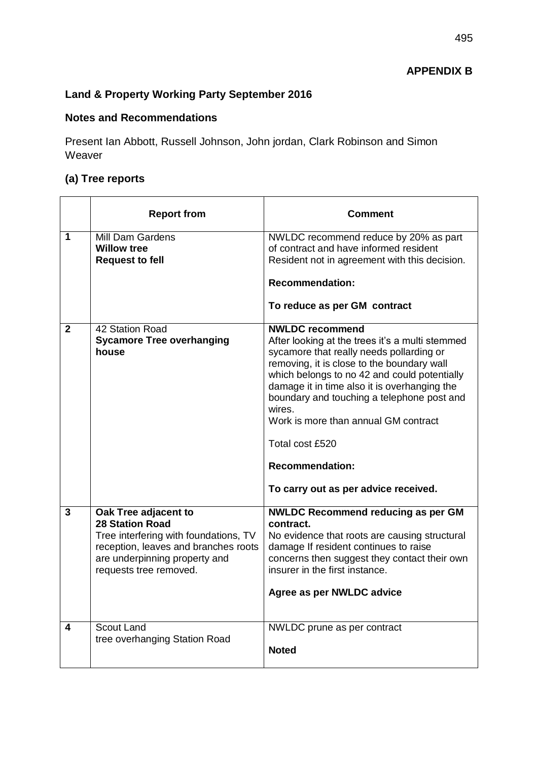#### **Land & Property Working Party September 2016**

#### **Notes and Recommendations**

Present Ian Abbott, Russell Johnson, John jordan, Clark Robinson and Simon Weaver

#### **(a) Tree reports**

|                         | <b>Report from</b>                                                                                                                                                                         | Comment                                                                                                                                                                                                                                                                                                                                                                                                                                                  |
|-------------------------|--------------------------------------------------------------------------------------------------------------------------------------------------------------------------------------------|----------------------------------------------------------------------------------------------------------------------------------------------------------------------------------------------------------------------------------------------------------------------------------------------------------------------------------------------------------------------------------------------------------------------------------------------------------|
| 1                       | <b>Mill Dam Gardens</b><br><b>Willow tree</b><br><b>Request to fell</b>                                                                                                                    | NWLDC recommend reduce by 20% as part<br>of contract and have informed resident<br>Resident not in agreement with this decision.<br><b>Recommendation:</b><br>To reduce as per GM contract                                                                                                                                                                                                                                                               |
| $\mathbf{2}$            | 42 Station Road<br><b>Sycamore Tree overhanging</b><br>house                                                                                                                               | <b>NWLDC</b> recommend<br>After looking at the trees it's a multi stemmed<br>sycamore that really needs pollarding or<br>removing, it is close to the boundary wall<br>which belongs to no 42 and could potentially<br>damage it in time also it is overhanging the<br>boundary and touching a telephone post and<br>wires.<br>Work is more than annual GM contract<br>Total cost £520<br><b>Recommendation:</b><br>To carry out as per advice received. |
| $\overline{\mathbf{3}}$ | Oak Tree adjacent to<br><b>28 Station Road</b><br>Tree interfering with foundations, TV<br>reception, leaves and branches roots<br>are underpinning property and<br>requests tree removed. | <b>NWLDC Recommend reducing as per GM</b><br>contract.<br>No evidence that roots are causing structural<br>damage If resident continues to raise<br>concerns then suggest they contact their own<br>insurer in the first instance.<br>Agree as per NWLDC advice                                                                                                                                                                                          |
| 4                       | Scout Land<br>tree overhanging Station Road                                                                                                                                                | NWLDC prune as per contract<br><b>Noted</b>                                                                                                                                                                                                                                                                                                                                                                                                              |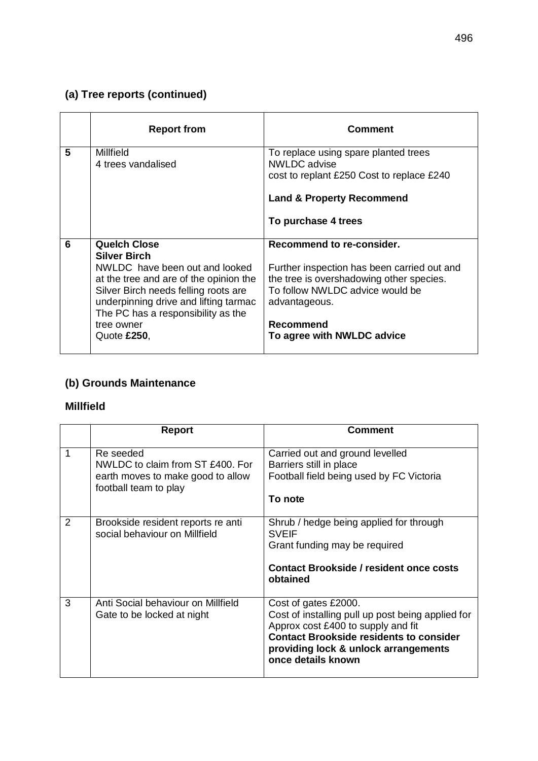## **(a) Tree reports (continued)**

|   | <b>Report from</b>                                                                                                                                                                                                                                                         | <b>Comment</b>                                                                                                                                                                                                      |
|---|----------------------------------------------------------------------------------------------------------------------------------------------------------------------------------------------------------------------------------------------------------------------------|---------------------------------------------------------------------------------------------------------------------------------------------------------------------------------------------------------------------|
| 5 | Millfield<br>4 trees vandalised                                                                                                                                                                                                                                            | To replace using spare planted trees<br>NWLDC advise<br>cost to replant £250 Cost to replace £240<br><b>Land &amp; Property Recommend</b><br>To purchase 4 trees                                                    |
| 6 | <b>Quelch Close</b><br><b>Silver Birch</b><br>NWLDC have been out and looked<br>at the tree and are of the opinion the<br>Silver Birch needs felling roots are<br>underpinning drive and lifting tarmac<br>The PC has a responsibility as the<br>tree owner<br>Quote £250, | Recommend to re-consider.<br>Further inspection has been carried out and<br>the tree is overshadowing other species.<br>To follow NWLDC advice would be<br>advantageous.<br>Recommend<br>To agree with NWLDC advice |

### **(b) Grounds Maintenance**

#### **Millfield**

|   | <b>Report</b>                                                                                               | <b>Comment</b>                                                                                                                                                                                                                  |
|---|-------------------------------------------------------------------------------------------------------------|---------------------------------------------------------------------------------------------------------------------------------------------------------------------------------------------------------------------------------|
|   | Re seeded<br>NWLDC to claim from ST £400. For<br>earth moves to make good to allow<br>football team to play | Carried out and ground levelled<br>Barriers still in place<br>Football field being used by FC Victoria<br>To note                                                                                                               |
| 2 | Brookside resident reports re anti<br>social behaviour on Millfield                                         | Shrub / hedge being applied for through<br><b>SVEIF</b><br>Grant funding may be required<br><b>Contact Brookside / resident once costs</b><br>obtained                                                                          |
| 3 | Anti Social behaviour on Millfield<br>Gate to be locked at night                                            | Cost of gates £2000.<br>Cost of installing pull up post being applied for<br>Approx cost £400 to supply and fit<br><b>Contact Brookside residents to consider</b><br>providing lock & unlock arrangements<br>once details known |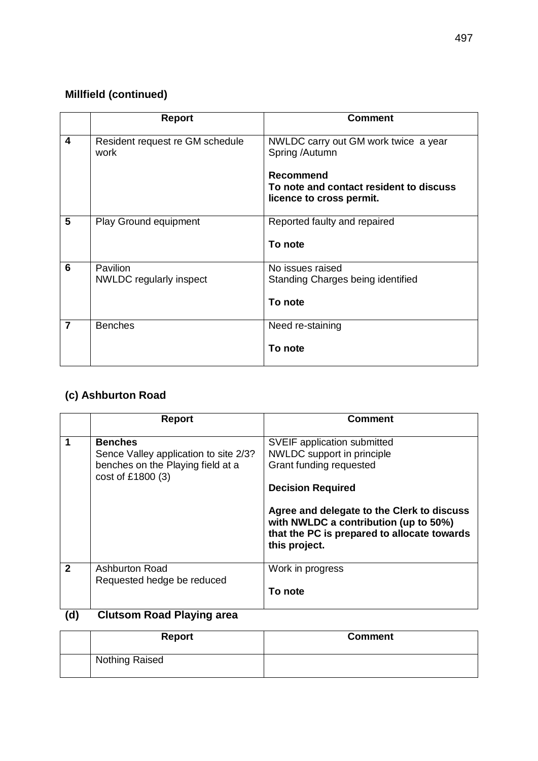### **Millfield (continued)**

|                | <b>Report</b>                           | <b>Comment</b>                                                                                                                                    |
|----------------|-----------------------------------------|---------------------------------------------------------------------------------------------------------------------------------------------------|
| 4              | Resident request re GM schedule<br>work | NWLDC carry out GM work twice a year<br>Spring /Autumn<br><b>Recommend</b><br>To note and contact resident to discuss<br>licence to cross permit. |
| 5              | <b>Play Ground equipment</b>            | Reported faulty and repaired<br>To note                                                                                                           |
| 6              | Pavilion<br>NWLDC regularly inspect     | No issues raised<br>Standing Charges being identified<br>To note                                                                                  |
| $\overline{7}$ | <b>Benches</b>                          | Need re-staining<br>To note                                                                                                                       |

### **(c) Ashburton Road**

|              | <b>Report</b>                                                                                                     | Comment                                                                                                                                                                                                                                                                 |
|--------------|-------------------------------------------------------------------------------------------------------------------|-------------------------------------------------------------------------------------------------------------------------------------------------------------------------------------------------------------------------------------------------------------------------|
|              | <b>Benches</b><br>Sence Valley application to site 2/3?<br>benches on the Playing field at a<br>cost of £1800 (3) | SVEIF application submitted<br>NWLDC support in principle<br>Grant funding requested<br><b>Decision Required</b><br>Agree and delegate to the Clerk to discuss<br>with NWLDC a contribution (up to 50%)<br>that the PC is prepared to allocate towards<br>this project. |
| $\mathbf{2}$ | <b>Ashburton Road</b><br>Requested hedge be reduced                                                               | Work in progress<br>To note                                                                                                                                                                                                                                             |

### **(d) Clutsom Road Playing area**

| <b>Report</b>  | <b>Comment</b> |
|----------------|----------------|
| Nothing Raised |                |